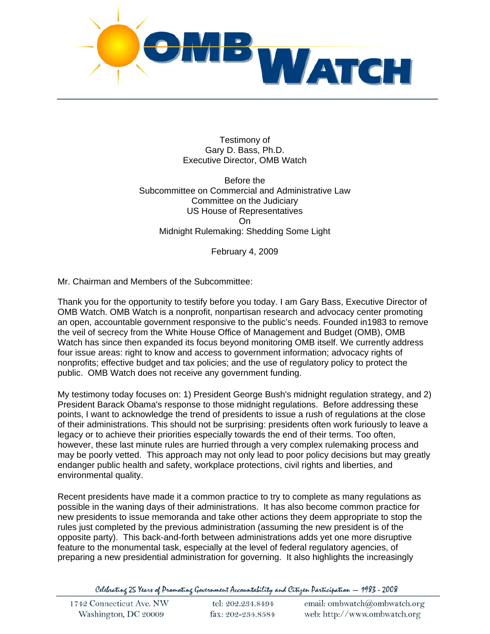

Testimony of Gary D. Bass, Ph.D. Executive Director, OMB Watch

Before the Subcommittee on Commercial and Administrative Law Committee on the Judiciary US House of Representatives On Midnight Rulemaking: Shedding Some Light

February 4, 2009

Mr. Chairman and Members of the Subcommittee:

Thank you for the opportunity to testify before you today. I am Gary Bass, Executive Director of OMB Watch. OMB Watch is a nonprofit, nonpartisan research and advocacy center promoting an open, accountable government responsive to the public's needs. Founded in1983 to remove the veil of secrecy from the White House Office of Management and Budget (OMB), OMB Watch has since then expanded its focus beyond monitoring OMB itself. We currently address four issue areas: right to know and access to government information; advocacy rights of nonprofits; effective budget and tax policies; and the use of regulatory policy to protect the public. OMB Watch does not receive any government funding.

My testimony today focuses on: 1) President George Bush's midnight regulation strategy, and 2) President Barack Obama's response to those midnight regulations. Before addressing these points, I want to acknowledge the trend of presidents to issue a rush of regulations at the close of their administrations. This should not be surprising: presidents often work furiously to leave a legacy or to achieve their priorities especially towards the end of their terms. Too often, however, these last minute rules are hurried through a very complex rulemaking process and may be poorly vetted. This approach may not only lead to poor policy decisions but may greatly endanger public health and safety, workplace protections, civil rights and liberties, and environmental quality.

Recent presidents have made it a common practice to try to complete as many regulations as possible in the waning days of their administrations. It has also become common practice for new presidents to issue memoranda and take other actions they deem appropriate to stop the rules just completed by the previous administration (assuming the new president is of the opposite party). This back-and-forth between administrations adds yet one more disruptive feature to the monumental task, especially at the level of federal regulatory agencies, of preparing a new presidential administration for governing. It also highlights the increasingly

Celebrating 25 Years of Promoting Government Accountability and Citizen Participation - 1983 - 2008

| 1742 Connecticut Ave. NW | tel: 202.234.8494 | email: ombwatch@ombwatch.org |
|--------------------------|-------------------|------------------------------|
| Washington, DC 20009     | fax: 202-234.8584 | web: http://www.ombwatch.org |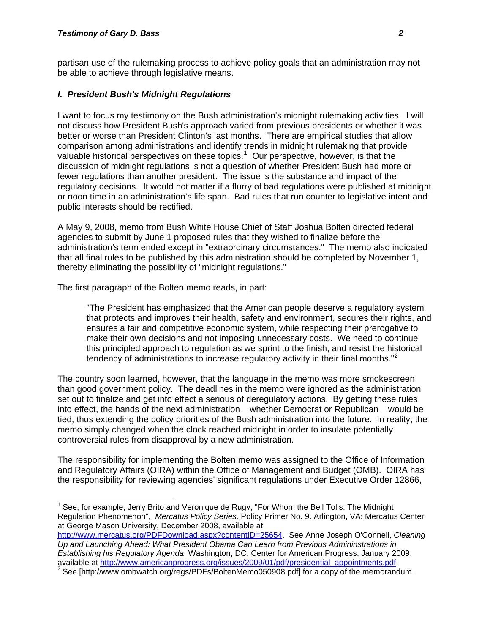$\overline{a}$ 

partisan use of the rulemaking process to achieve policy goals that an administration may not be able to achieve through legislative means.

### *I. President Bush's Midnight Regulations*

I want to focus my testimony on the Bush administration's midnight rulemaking activities. I will not discuss how President Bush's approach varied from previous presidents or whether it was better or worse than President Clinton's last months. There are empirical studies that allow comparison among administrations and identify trends in midnight rulemaking that provide valuable historical perspectives on these topics.<sup>[1](#page-1-0)</sup> Our perspective, however, is that the discussion of midnight regulations is not a question of whether President Bush had more or fewer regulations than another president. The issue is the substance and impact of the regulatory decisions. It would not matter if a flurry of bad regulations were published at midnight or noon time in an administration's life span. Bad rules that run counter to legislative intent and public interests should be rectified.

A May 9, 2008, memo from Bush White House Chief of Staff Joshua Bolten directed federal agencies to submit by June 1 proposed rules that they wished to finalize before the administration's term ended except in "extraordinary circumstances." The memo also indicated that all final rules to be published by this administration should be completed by November 1, thereby eliminating the possibility of "midnight regulations."

The first paragraph of the Bolten memo reads, in part:

"The President has emphasized that the American people deserve a regulatory system that protects and improves their health, safety and environment, secures their rights, and ensures a fair and competitive economic system, while respecting their prerogative to make their own decisions and not imposing unnecessary costs. We need to continue this principled approach to regulation as we sprint to the finish, and resist the historical tendency of administrations to increase regulatory activity in their final months."<sup>[2](#page-1-1)</sup>

The country soon learned, however, that the language in the memo was more smokescreen than good government policy. The deadlines in the memo were ignored as the administration set out to finalize and get into effect a serious of deregulatory actions. By getting these rules into effect, the hands of the next administration – whether Democrat or Republican – would be tied, thus extending the policy priorities of the Bush administration into the future. In reality, the memo simply changed when the clock reached midnight in order to insulate potentially controversial rules from disapproval by a new administration.

The responsibility for implementing the Bolten memo was assigned to the Office of Information and Regulatory Affairs (OIRA) within the Office of Management and Budget (OMB). OIRA has the responsibility for reviewing agencies' significant regulations under Executive Order 12866,

<span id="page-1-0"></span><sup>&</sup>lt;sup>1</sup> See, for example, Jerry Brito and Veronique de Rugy, "For Whom the Bell Tolls: The Midnight Regulation Phenomenon", *Mercatus Policy Series,* Policy Primer No. 9. Arlington, VA: Mercatus Center at George Mason University, December 2008, available at

[http://www.mercatus.org/PDFDownload.aspx?contentID=25654.](http://www.mercatus.org/PDFDownload.aspx?contentID=25654) See Anne Joseph O'Connell, *Cleaning Up and Launching Ahead: What President Obama Can Learn from Previous Admininstrations in Establishing his Regulatory Agenda*, Washington, DC: Center for American Progress, January 2009, available at [http://www.americanprogress.org/issues/2009/01/pdf/presidential\\_appointments.pdf.](http://www.americanprogress.org/issues/2009/01/pdf/presidential_appointments.pdf)

<span id="page-1-1"></span>See [http://www.ombwatch.org/regs/PDFs/BoltenMemo050908.pdf] for a copy of the memorandum.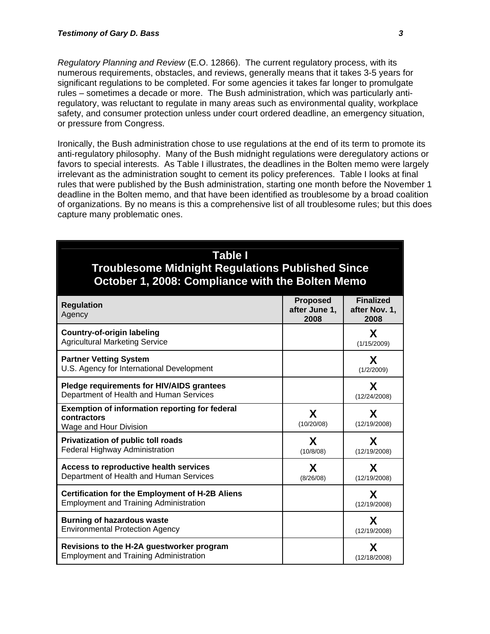*Regulatory Planning and Review* (E.O. 12866). The current regulatory process, with its numerous requirements, obstacles, and reviews, generally means that it takes 3-5 years for significant regulations to be completed. For some agencies it takes far longer to promulgate rules – sometimes a decade or more. The Bush administration, which was particularly antiregulatory, was reluctant to regulate in many areas such as environmental quality, workplace safety, and consumer protection unless under court ordered deadline, an emergency situation, or pressure from Congress.

Ironically, the Bush administration chose to use regulations at the end of its term to promote its anti-regulatory philosophy. Many of the Bush midnight regulations were deregulatory actions or favors to special interests. As Table I illustrates, the deadlines in the Bolten memo were largely irrelevant as the administration sought to cement its policy preferences. Table I looks at final rules that were published by the Bush administration, starting one month before the November 1 deadline in the Bolten memo, and that have been identified as troublesome by a broad coalition of organizations. By no means is this a comprehensive list of all troublesome rules; but this does capture many problematic ones.

| Table I<br><b>Troublesome Midnight Regulations Published Since</b><br>October 1, 2008: Compliance with the Bolten Memo |                                          |                                           |  |
|------------------------------------------------------------------------------------------------------------------------|------------------------------------------|-------------------------------------------|--|
| <b>Regulation</b><br>Agency                                                                                            | <b>Proposed</b><br>after June 1,<br>2008 | <b>Finalized</b><br>after Nov. 1,<br>2008 |  |
| <b>Country-of-origin labeling</b><br><b>Agricultural Marketing Service</b>                                             |                                          | X<br>(1/15/2009)                          |  |
| <b>Partner Vetting System</b><br>U.S. Agency for International Development                                             |                                          | X<br>(1/2/2009)                           |  |
| Pledge requirements for HIV/AIDS grantees<br>Department of Health and Human Services                                   |                                          | X<br>(12/24/2008)                         |  |
| <b>Exemption of information reporting for federal</b><br>contractors<br>Wage and Hour Division                         | X<br>(10/20/08)                          | X<br>(12/19/2008)                         |  |
| Privatization of public toll roads<br>Federal Highway Administration                                                   | X<br>(10/8/08)                           | X<br>(12/19/2008)                         |  |
| Access to reproductive health services<br>Department of Health and Human Services                                      | X<br>(8/26/08)                           | X<br>(12/19/2008)                         |  |
| <b>Certification for the Employment of H-2B Aliens</b><br><b>Employment and Training Administration</b>                |                                          | X<br>(12/19/2008)                         |  |
| <b>Burning of hazardous waste</b><br><b>Environmental Protection Agency</b>                                            |                                          | X<br>(12/19/2008)                         |  |
| Revisions to the H-2A guestworker program<br><b>Employment and Training Administration</b>                             |                                          | X<br>(12/18/2008)                         |  |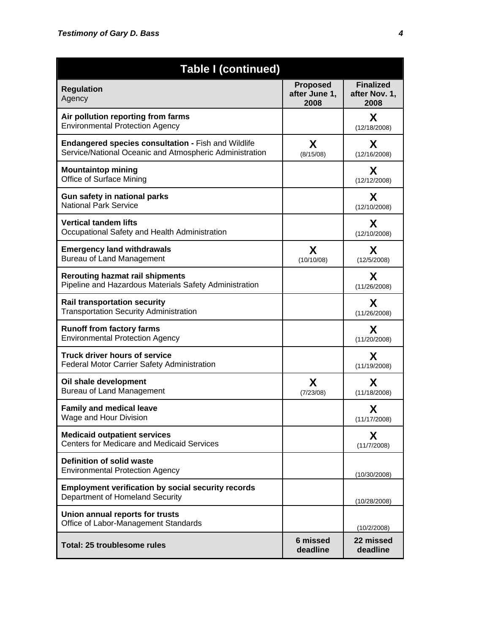| <b>Table I (continued)</b>                                                                                            |                                          |                                           |  |
|-----------------------------------------------------------------------------------------------------------------------|------------------------------------------|-------------------------------------------|--|
| <b>Regulation</b><br>Agency                                                                                           | <b>Proposed</b><br>after June 1,<br>2008 | <b>Finalized</b><br>after Nov. 1,<br>2008 |  |
| Air pollution reporting from farms<br><b>Environmental Protection Agency</b>                                          |                                          | X<br>(12/18/2008)                         |  |
| <b>Endangered species consultation - Fish and Wildlife</b><br>Service/National Oceanic and Atmospheric Administration | X<br>(8/15/08)                           | X<br>(12/16/2008)                         |  |
| <b>Mountaintop mining</b><br>Office of Surface Mining                                                                 |                                          | X<br>(12/12/2008)                         |  |
| Gun safety in national parks<br><b>National Park Service</b>                                                          |                                          | X<br>(12/10/2008)                         |  |
| <b>Vertical tandem lifts</b><br>Occupational Safety and Health Administration                                         |                                          | X<br>(12/10/2008)                         |  |
| <b>Emergency land withdrawals</b><br><b>Bureau of Land Management</b>                                                 | X<br>(10/10/08)                          | X<br>(12/5/2008)                          |  |
| <b>Rerouting hazmat rail shipments</b><br>Pipeline and Hazardous Materials Safety Administration                      |                                          | X<br>(11/26/2008)                         |  |
| <b>Rail transportation security</b><br><b>Transportation Security Administration</b>                                  |                                          | X<br>(11/26/2008)                         |  |
| <b>Runoff from factory farms</b><br><b>Environmental Protection Agency</b>                                            |                                          | X<br>(11/20/2008)                         |  |
| Truck driver hours of service<br>Federal Motor Carrier Safety Administration                                          |                                          | X<br>(11/19/2008)                         |  |
| Oil shale development<br>Bureau of Land Management                                                                    | X<br>(7/23/08)                           | X<br>(11/18/2008)                         |  |
| <b>Family and medical leave</b><br>Wage and Hour Division                                                             |                                          | X<br>(11/17/2008)                         |  |
| <b>Medicaid outpatient services</b><br><b>Centers for Medicare and Medicaid Services</b>                              |                                          | X<br>(11/7/2008)                          |  |
| <b>Definition of solid waste</b><br><b>Environmental Protection Agency</b>                                            |                                          | (10/30/2008)                              |  |
| <b>Employment verification by social security records</b><br>Department of Homeland Security                          |                                          | (10/28/2008)                              |  |
| Union annual reports for trusts<br>Office of Labor-Management Standards                                               |                                          | (10/2/2008)                               |  |
| Total: 25 troublesome rules                                                                                           | 6 missed<br>deadline                     | 22 missed<br>deadline                     |  |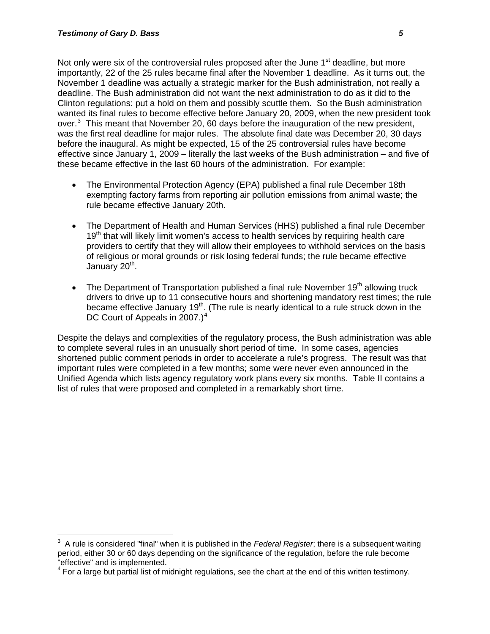Not only were six of the controversial rules proposed after the June 1<sup>st</sup> deadline, but more importantly, 22 of the 25 rules became final after the November 1 deadline. As it turns out, the November 1 deadline was actually a strategic marker for the Bush administration, not really a deadline. The Bush administration did not want the next administration to do as it did to the Clinton regulations: put a hold on them and possibly scuttle them. So the Bush administration wanted its final rules to become effective before January 20, 2009, when the new president took over. $3$  This meant that November 20, 60 days before the inauguration of the new president, was the first real deadline for major rules. The absolute final date was December 20, 30 days before the inaugural. As might be expected, 15 of the 25 controversial rules have become effective since January 1, 2009 – literally the last weeks of the Bush administration – and five of these became effective in the last 60 hours of the administration. For example:

- The Environmental Protection Agency (EPA) published a final rule December 18th exempting factory farms from reporting air pollution emissions from animal waste; the rule became effective January 20th.
- The Department of Health and Human Services (HHS) published a final rule December 19<sup>th</sup> that will likely limit women's access to health services by requiring health care providers to certify that they will allow their employees to withhold services on the basis of religious or moral grounds or risk losing federal funds; the rule became effective January  $20<sup>th</sup>$ .
- The Department of Transportation published a final rule November  $19<sup>th</sup>$  allowing truck drivers to drive up to 11 consecutive hours and shortening mandatory rest times; the rule became effective January 19<sup>th</sup>. (The rule is nearly identical to a rule struck down in the DC Court of Appeals in 2007.) $<sup>4</sup>$  $<sup>4</sup>$  $<sup>4</sup>$ </sup>

Despite the delays and complexities of the regulatory process, the Bush administration was able to complete several rules in an unusually short period of time. In some cases, agencies shortened public comment periods in order to accelerate a rule's progress. The result was that important rules were completed in a few months; some were never even announced in the Unified Agenda which lists agency regulatory work plans every six months. Table II contains a list of rules that were proposed and completed in a remarkably short time.

<span id="page-4-0"></span><sup>-&</sup>lt;br>3 A rule is considered "final" when it is published in the *Federal Register*; there is a subsequent waiting period, either 30 or 60 days depending on the significance of the regulation, before the rule become "effective" and is implemented.

<span id="page-4-1"></span> $4$  For a large but partial list of midnight regulations, see the chart at the end of this written testimony.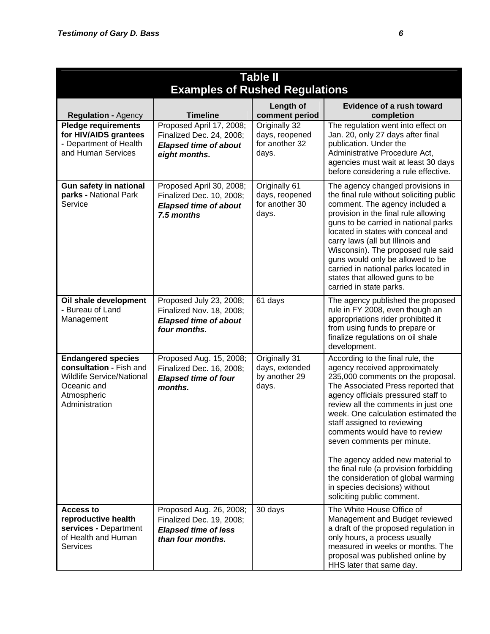| <b>Table II</b>                                                                                                                          |                                                                                                         |                                                            |                                                                                                                                                                                                                                                                                                                                                                                                                                                                                                                                                     |  |  |
|------------------------------------------------------------------------------------------------------------------------------------------|---------------------------------------------------------------------------------------------------------|------------------------------------------------------------|-----------------------------------------------------------------------------------------------------------------------------------------------------------------------------------------------------------------------------------------------------------------------------------------------------------------------------------------------------------------------------------------------------------------------------------------------------------------------------------------------------------------------------------------------------|--|--|
|                                                                                                                                          | <b>Examples of Rushed Regulations</b>                                                                   |                                                            |                                                                                                                                                                                                                                                                                                                                                                                                                                                                                                                                                     |  |  |
| <b>Regulation - Agency</b>                                                                                                               | <b>Timeline</b>                                                                                         | Length of<br>comment period                                | <b>Evidence of a rush toward</b><br>completion                                                                                                                                                                                                                                                                                                                                                                                                                                                                                                      |  |  |
| <b>Pledge requirements</b><br>for HIV/AIDS grantees<br>- Department of Health<br>and Human Services                                      | Proposed April 17, 2008;<br>Finalized Dec. 24, 2008;<br><b>Elapsed time of about</b><br>eight months.   | Originally 32<br>days, reopened<br>for another 32<br>days. | The regulation went into effect on<br>Jan. 20, only 27 days after final<br>publication. Under the<br>Administrative Procedure Act,<br>agencies must wait at least 30 days<br>before considering a rule effective.                                                                                                                                                                                                                                                                                                                                   |  |  |
| Gun safety in national<br>parks - National Park<br>Service                                                                               | Proposed April 30, 2008;<br>Finalized Dec. 10, 2008;<br><b>Elapsed time of about</b><br>7.5 months      | Originally 61<br>days, reopened<br>for another 30<br>days. | The agency changed provisions in<br>the final rule without soliciting public<br>comment. The agency included a<br>provision in the final rule allowing<br>guns to be carried in national parks<br>located in states with conceal and<br>carry laws (all but Illinois and<br>Wisconsin). The proposed rule said<br>guns would only be allowed to be<br>carried in national parks located in<br>states that allowed guns to be<br>carried in state parks.                                                                                             |  |  |
| Oil shale development<br>- Bureau of Land<br>Management                                                                                  | Proposed July 23, 2008;<br>Finalized Nov. 18, 2008;<br><b>Elapsed time of about</b><br>four months.     | 61 days                                                    | The agency published the proposed<br>rule in FY 2008, even though an<br>appropriations rider prohibited it<br>from using funds to prepare or<br>finalize regulations on oil shale<br>development.                                                                                                                                                                                                                                                                                                                                                   |  |  |
| <b>Endangered species</b><br>consultation - Fish and<br><b>Wildlife Service/National</b><br>Oceanic and<br>Atmospheric<br>Administration | Proposed Aug. 15, 2008;<br>Finalized Dec. 16, 2008;<br><b>Elapsed time of four</b><br>months.           | Originally 31<br>days, extended<br>by another 29<br>days.  | According to the final rule, the<br>agency received approximately<br>235,000 comments on the proposal.<br>The Associated Press reported that<br>agency officials pressured staff to<br>review all the comments in just one<br>week. One calculation estimated the<br>staff assigned to reviewing<br>comments would have to review<br>seven comments per minute.<br>The agency added new material to<br>the final rule (a provision forbidding<br>the consideration of global warming<br>in species decisions) without<br>soliciting public comment. |  |  |
| <b>Access to</b><br>reproductive health<br>services - Department<br>of Health and Human<br><b>Services</b>                               | Proposed Aug. 26, 2008;<br>Finalized Dec. 19, 2008;<br><b>Elapsed time of less</b><br>than four months. | 30 days                                                    | The White House Office of<br>Management and Budget reviewed<br>a draft of the proposed regulation in<br>only hours, a process usually<br>measured in weeks or months. The<br>proposal was published online by<br>HHS later that same day.                                                                                                                                                                                                                                                                                                           |  |  |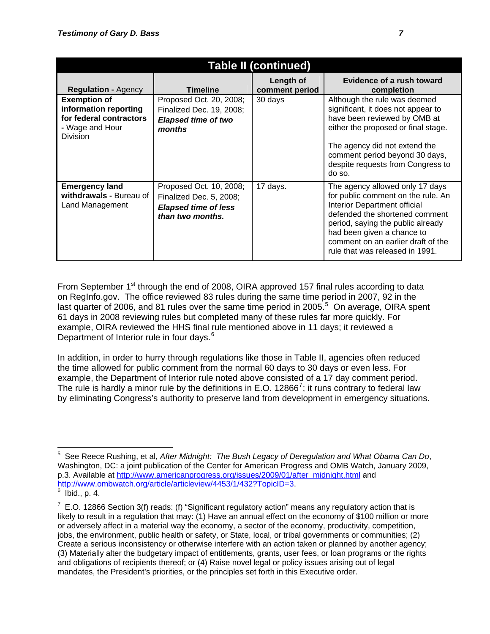| <b>Table II (continued)</b>                                                                                   |                                                                                                       |                             |                                                                                                                                                                                                                                                                                     |  |
|---------------------------------------------------------------------------------------------------------------|-------------------------------------------------------------------------------------------------------|-----------------------------|-------------------------------------------------------------------------------------------------------------------------------------------------------------------------------------------------------------------------------------------------------------------------------------|--|
| <b>Regulation - Agency</b>                                                                                    | <b>Timeline</b>                                                                                       | Length of<br>comment period | <b>Evidence of a rush toward</b><br>completion                                                                                                                                                                                                                                      |  |
| <b>Exemption of</b><br>information reporting<br>for federal contractors<br>- Wage and Hour<br><b>Division</b> | Proposed Oct. 20, 2008;<br>Finalized Dec. 19, 2008;<br><b>Elapsed time of two</b><br>months           | 30 days                     | Although the rule was deemed<br>significant, it does not appear to<br>have been reviewed by OMB at<br>either the proposed or final stage.<br>The agency did not extend the<br>comment period beyond 30 days,<br>despite requests from Congress to<br>do so.                         |  |
| <b>Emergency land</b><br>withdrawals - Bureau of<br>Land Management                                           | Proposed Oct. 10, 2008;<br>Finalized Dec. 5, 2008;<br><b>Elapsed time of less</b><br>than two months. | 17 days.                    | The agency allowed only 17 days<br>for public comment on the rule. An<br>Interior Department official<br>defended the shortened comment<br>period, saying the public already<br>had been given a chance to<br>comment on an earlier draft of the<br>rule that was released in 1991. |  |

From September 1<sup>st</sup> through the end of 2008, OIRA approved 157 final rules according to data on RegInfo.gov. The office reviewed 83 rules during the same time period in 2007, 92 in the last quarter of 2006, and 81 rules over the same time period in 200[5](#page-6-0). $5$  On average, OIRA spent 61 days in 2008 reviewing rules but completed many of these rules far more quickly. For example, OIRA reviewed the HHS final rule mentioned above in 11 days; it reviewed a Department of Interior rule in four days.<sup>[6](#page-6-1)</sup>

In addition, in order to hurry through regulations like those in Table II, agencies often reduced the time allowed for public comment from the normal 60 days to 30 days or even less. For example, the Department of Interior rule noted above consisted of a 17 day comment period. The rule is hardly a minor rule by the definitions in E.O. 12866<sup>[7](#page-6-2)</sup>; it runs contrary to federal law by eliminating Congress's authority to preserve land from development in emergency situations.

<span id="page-6-0"></span> $\overline{a}$ 5 See Reece Rushing, et al, *After Midnight: The Bush Legacy of Deregulation and What Obama Can Do*, Washington, DC: a joint publication of the Center for American Progress and OMB Watch, January 2009, p.3. Available at [http://www.americanprogress.org/issues/2009/01/after\\_midnight.html](http://www.americanprogress.org/issues/2009/01/after_midnight.html) and <http://www.ombwatch.org/article/articleview/4453/1/432?TopicID=3>.

<span id="page-6-1"></span> $6$  Ibid., p. 4.

<span id="page-6-2"></span> $7$  E.O. 12866 Section 3(f) reads: (f) "Significant regulatory action" means any regulatory action that is likely to result in a regulation that may: (1) Have an annual effect on the economy of \$100 million or more or adversely affect in a material way the economy, a sector of the economy, productivity, competition, jobs, the environment, public health or safety, or State, local, or tribal governments or communities; (2) Create a serious inconsistency or otherwise interfere with an action taken or planned by another agency; (3) Materially alter the budgetary impact of entitlements, grants, user fees, or loan programs or the rights and obligations of recipients thereof; or (4) Raise novel legal or policy issues arising out of legal mandates, the President's priorities, or the principles set forth in this Executive order.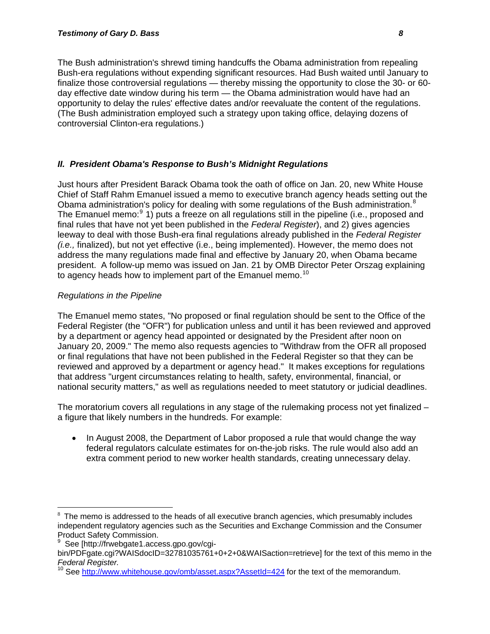The Bush administration's shrewd timing handcuffs the Obama administration from repealing Bush-era regulations without expending significant resources. Had Bush waited until January to finalize those controversial regulations — thereby missing the opportunity to close the 30- or 60 day effective date window during his term — the Obama administration would have had an opportunity to delay the rules' effective dates and/or reevaluate the content of the regulations. (The Bush administration employed such a strategy upon taking office, delaying dozens of controversial Clinton-era regulations.)

## *II. President Obama's Response to Bush's Midnight Regulations*

Just hours after President Barack Obama took the oath of office on Jan. 20, new White House Chief of Staff Rahm Emanuel issued a memo to executive branch agency heads setting out the Obama administration's policy for dealing with some regulations of the Bush administration.<sup>[8](#page-7-0)</sup> The Emanuel memo:<sup>[9](#page-7-1)</sup> 1) puts a freeze on all regulations still in the pipeline (i.e., proposed and final rules that have not yet been published in the *Federal Register*), and 2) gives agencies leeway to deal with those Bush-era final regulations already published in the *Federal Register (i.e.,* finalized), but not yet effective (i.e., being implemented). However, the memo does not address the many regulations made final and effective by January 20, when Obama became president. A follow-up memo was issued on Jan. 21 by OMB Director Peter Orszag explaining to agency heads how to implement part of the Emanuel memo.<sup>[10](#page-7-2)</sup>

# *Regulations in the Pipeline*

The Emanuel memo states, "No proposed or final regulation should be sent to the Office of the Federal Register (the "OFR") for publication unless and until it has been reviewed and approved by a department or agency head appointed or designated by the President after noon on January 20, 2009." The memo also requests agencies to "Withdraw from the OFR all proposed or final regulations that have not been published in the Federal Register so that they can be reviewed and approved by a department or agency head." It makes exceptions for regulations that address "urgent circumstances relating to health, safety, environmental, financial, or national security matters," as well as regulations needed to meet statutory or judicial deadlines.

The moratorium covers all regulations in any stage of the rulemaking process not yet finalized – a figure that likely numbers in the hundreds. For example:

• In August 2008, the Department of Labor proposed a rule that would change the way federal regulators calculate estimates for on-the-job risks. The rule would also add an extra comment period to new worker health standards, creating unnecessary delay.

 $\overline{a}$ 

<span id="page-7-0"></span> $8$  The memo is addressed to the heads of all executive branch agencies, which presumably includes independent regulatory agencies such as the Securities and Exchange Commission and the Consumer Product Safety Commission.<br><sup>9</sup> See Ihttp://frusbaste1.com

<span id="page-7-1"></span>See [http://frwebgate1.access.gpo.gov/cgi-

bin/PDFgate.cgi?WAISdocID=32781035761+0+2+0&WAISaction=retrieve] for the text of this memo in the *Federal Register.*

<span id="page-7-2"></span>See <http://www.whitehouse.gov/omb/asset.aspx?AssetId=424>for the text of the memorandum.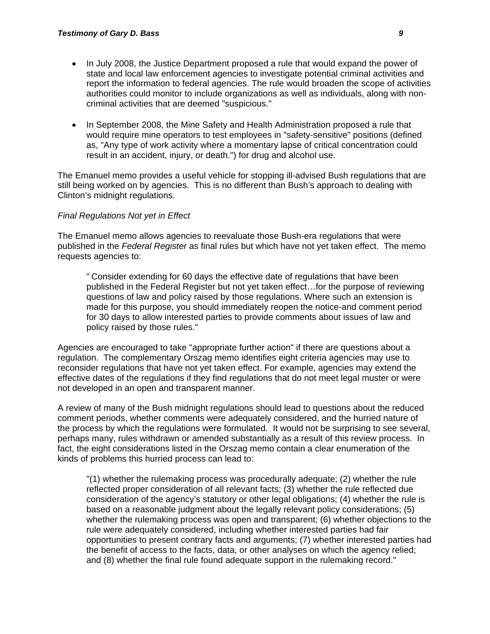- In July 2008, the Justice Department proposed a rule that would expand the power of state and local law enforcement agencies to investigate potential criminal activities and report the information to federal agencies. The rule would broaden the scope of activities authorities could monitor to include organizations as well as individuals, along with noncriminal activities that are deemed "suspicious."
- In September 2008, the Mine Safety and Health Administration proposed a rule that would require mine operators to test employees in "safety-sensitive" positions (defined as, "Any type of work activity where a momentary lapse of critical concentration could result in an accident, injury, or death.") for drug and alcohol use.

The Emanuel memo provides a useful vehicle for stopping ill-advised Bush regulations that are still being worked on by agencies. This is no different than Bush's approach to dealing with Clinton's midnight regulations.

#### *Final Regulations Not yet in Effect*

The Emanuel memo allows agencies to reevaluate those Bush-era regulations that were published in the *Federal Register* as final rules but which have not yet taken effect. The memo requests agencies to:

" Consider extending for 60 days the effective date of regulations that have been published in the Federal Register but not yet taken effect…for the purpose of reviewing questions of law and policy raised by those regulations. Where such an extension is made for this purpose, you should immediately reopen the notice-and comment period for 30 days to allow interested parties to provide comments about issues of law and policy raised by those rules."

Agencies are encouraged to take "appropriate further action" if there are questions about a regulation. The complementary Orszag memo identifies eight criteria agencies may use to reconsider regulations that have not yet taken effect. For example, agencies may extend the effective dates of the regulations if they find regulations that do not meet legal muster or were not developed in an open and transparent manner.

A review of many of the Bush midnight regulations should lead to questions about the reduced comment periods, whether comments were adequately considered, and the hurried nature of the process by which the regulations were formulated. It would not be surprising to see several, perhaps many, rules withdrawn or amended substantially as a result of this review process. In fact, the eight considerations listed in the Orszag memo contain a clear enumeration of the kinds of problems this hurried process can lead to:

"(1) whether the rulemaking process was procedurally adequate; (2) whether the rule reflected proper consideration of all relevant facts; (3) whether the rule reflected due consideration of the agency's statutory or other legal obligations; (4) whether the rule is based on a reasonable judgment about the legally relevant policy considerations; (5) whether the rulemaking process was open and transparent; (6) whether objections to the rule were adequately considered, including whether interested parties had fair opportunities to present contrary facts and arguments; (7) whether interested parties had the benefit of access to the facts, data, or other analyses on which the agency relied; and (8) whether the final rule found adequate support in the rulemaking record."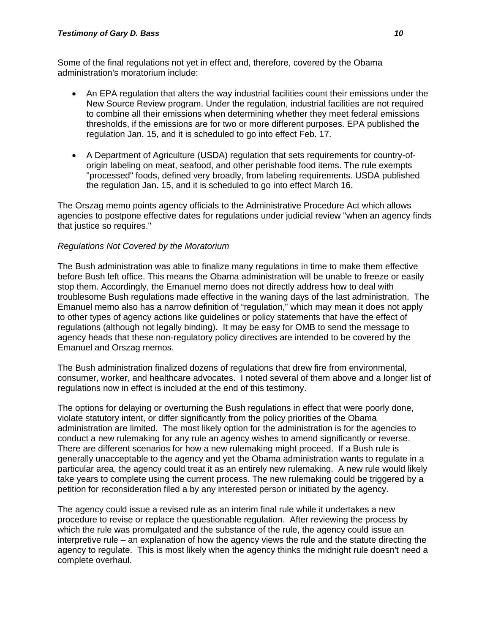Some of the final regulations not yet in effect and, therefore, covered by the Obama administration's moratorium include:

- An EPA regulation that alters the way industrial facilities count their emissions under the New Source Review program. Under the regulation, industrial facilities are not required to combine all their emissions when determining whether they meet federal emissions thresholds, if the emissions are for two or more different purposes. EPA published the regulation Jan. 15, and it is scheduled to go into effect Feb. 17.
- A Department of Agriculture (USDA) regulation that sets requirements for country-oforigin labeling on meat, seafood, and other perishable food items. The rule exempts "processed" foods, defined very broadly, from labeling requirements. USDA published the regulation Jan. 15, and it is scheduled to go into effect March 16.

The Orszag memo points agency officials to the Administrative Procedure Act which allows agencies to postpone effective dates for regulations under judicial review "when an agency finds that justice so requires."

#### *Regulations Not Covered by the Moratorium*

The Bush administration was able to finalize many regulations in time to make them effective before Bush left office. This means the Obama administration will be unable to freeze or easily stop them. Accordingly, the Emanuel memo does not directly address how to deal with troublesome Bush regulations made effective in the waning days of the last administration. The Emanuel memo also has a narrow definition of "regulation," which may mean it does not apply to other types of agency actions like guidelines or policy statements that have the effect of regulations (although not legally binding). It may be easy for OMB to send the message to agency heads that these non-regulatory policy directives are intended to be covered by the Emanuel and Orszag memos.

The Bush administration finalized dozens of regulations that drew fire from environmental, consumer, worker, and healthcare advocates. I noted several of them above and a longer list of regulations now in effect is included at the end of this testimony.

The options for delaying or overturning the Bush regulations in effect that were poorly done, violate statutory intent, or differ significantly from the policy priorities of the Obama administration are limited. The most likely option for the administration is for the agencies to conduct a new rulemaking for any rule an agency wishes to amend significantly or reverse. There are different scenarios for how a new rulemaking might proceed. If a Bush rule is generally unacceptable to the agency and yet the Obama administration wants to regulate in a particular area, the agency could treat it as an entirely new rulemaking. A new rule would likely take years to complete using the current process. The new rulemaking could be triggered by a petition for reconsideration filed a by any interested person or initiated by the agency.

The agency could issue a revised rule as an interim final rule while it undertakes a new procedure to revise or replace the questionable regulation. After reviewing the process by which the rule was promulgated and the substance of the rule, the agency could issue an interpretive rule – an explanation of how the agency views the rule and the statute directing the agency to regulate. This is most likely when the agency thinks the midnight rule doesn't need a complete overhaul.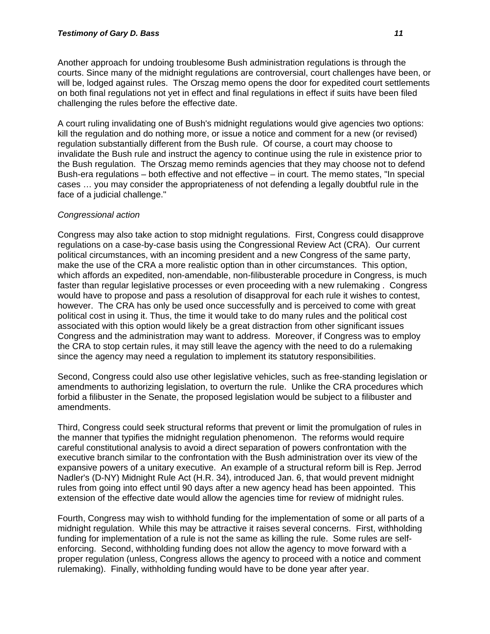Another approach for undoing troublesome Bush administration regulations is through the courts. Since many of the midnight regulations are controversial, court challenges have been, or will be, lodged against rules. The Orszag memo opens the door for expedited court settlements on both final regulations not yet in effect and final regulations in effect if suits have been filed challenging the rules before the effective date.

A court ruling invalidating one of Bush's midnight regulations would give agencies two options: kill the regulation and do nothing more, or issue a notice and comment for a new (or revised) regulation substantially different from the Bush rule. Of course, a court may choose to invalidate the Bush rule and instruct the agency to continue using the rule in existence prior to the Bush regulation. The Orszag memo reminds agencies that they may choose not to defend Bush-era regulations – both effective and not effective – in court. The memo states, "In special cases … you may consider the appropriateness of not defending a legally doubtful rule in the face of a judicial challenge."

#### *Congressional action*

Congress may also take action to stop midnight regulations. First, Congress could disapprove regulations on a case-by-case basis using the Congressional Review Act (CRA). Our current political circumstances, with an incoming president and a new Congress of the same party, make the use of the CRA a more realistic option than in other circumstances. This option, which affords an expedited, non-amendable, non-filibusterable procedure in Congress, is much faster than regular legislative processes or even proceeding with a new rulemaking . Congress would have to propose and pass a resolution of disapproval for each rule it wishes to contest, however. The CRA has only be used once successfully and is perceived to come with great political cost in using it. Thus, the time it would take to do many rules and the political cost associated with this option would likely be a great distraction from other significant issues Congress and the administration may want to address. Moreover, if Congress was to employ the CRA to stop certain rules, it may still leave the agency with the need to do a rulemaking since the agency may need a regulation to implement its statutory responsibilities.

Second, Congress could also use other legislative vehicles, such as free-standing legislation or amendments to authorizing legislation, to overturn the rule. Unlike the CRA procedures which forbid a filibuster in the Senate, the proposed legislation would be subject to a filibuster and amendments.

Third, Congress could seek structural reforms that prevent or limit the promulgation of rules in the manner that typifies the midnight regulation phenomenon. The reforms would require careful constitutional analysis to avoid a direct separation of powers confrontation with the executive branch similar to the confrontation with the Bush administration over its view of the expansive powers of a unitary executive. An example of a structural reform bill is Rep. Jerrod Nadler's (D-NY) Midnight Rule Act (H.R. 34), introduced Jan. 6, that would prevent midnight rules from going into effect until 90 days after a new agency head has been appointed. This extension of the effective date would allow the agencies time for review of midnight rules.

Fourth, Congress may wish to withhold funding for the implementation of some or all parts of a midnight regulation. While this may be attractive it raises several concerns. First, withholding funding for implementation of a rule is not the same as killing the rule. Some rules are selfenforcing. Second, withholding funding does not allow the agency to move forward with a proper regulation (unless, Congress allows the agency to proceed with a notice and comment rulemaking). Finally, withholding funding would have to be done year after year.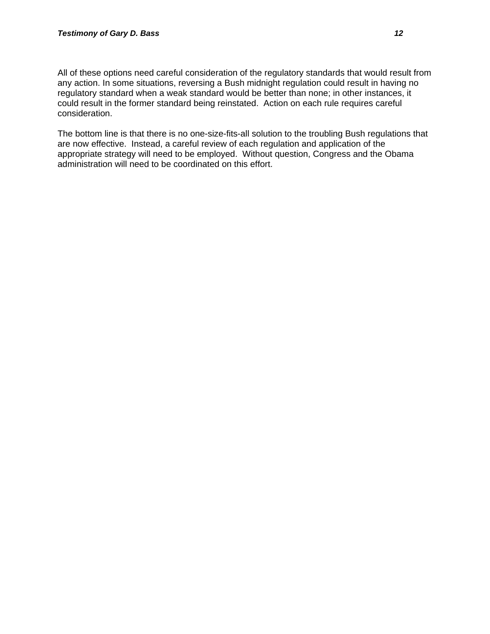All of these options need careful consideration of the regulatory standards that would result from any action. In some situations, reversing a Bush midnight regulation could result in having no regulatory standard when a weak standard would be better than none; in other instances, it could result in the former standard being reinstated. Action on each rule requires careful consideration.

The bottom line is that there is no one-size-fits-all solution to the troubling Bush regulations that are now effective. Instead, a careful review of each regulation and application of the appropriate strategy will need to be employed. Without question, Congress and the Obama administration will need to be coordinated on this effort.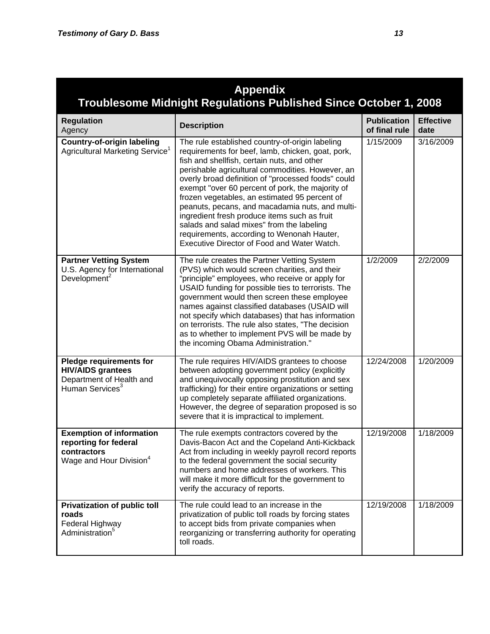| <b>Appendix</b><br>Troublesome Midnight Regulations Published Since October 1, 2008                                   |                                                                                                                                                                                                                                                                                                                                                                                                                                                                                                                                                                                                                 |                                     |                          |  |
|-----------------------------------------------------------------------------------------------------------------------|-----------------------------------------------------------------------------------------------------------------------------------------------------------------------------------------------------------------------------------------------------------------------------------------------------------------------------------------------------------------------------------------------------------------------------------------------------------------------------------------------------------------------------------------------------------------------------------------------------------------|-------------------------------------|--------------------------|--|
| <b>Regulation</b><br>Agency                                                                                           | <b>Description</b>                                                                                                                                                                                                                                                                                                                                                                                                                                                                                                                                                                                              | <b>Publication</b><br>of final rule | <b>Effective</b><br>date |  |
| <b>Country-of-origin labeling</b><br>Agricultural Marketing Service <sup>1</sup>                                      | The rule established country-of-origin labeling<br>requirements for beef, lamb, chicken, goat, pork,<br>fish and shellfish, certain nuts, and other<br>perishable agricultural commodities. However, an<br>overly broad definition of "processed foods" could<br>exempt "over 60 percent of pork, the majority of<br>frozen vegetables, an estimated 95 percent of<br>peanuts, pecans, and macadamia nuts, and multi-<br>ingredient fresh produce items such as fruit<br>salads and salad mixes" from the labeling<br>requirements, according to Wenonah Hauter,<br>Executive Director of Food and Water Watch. | 1/15/2009                           | 3/16/2009                |  |
| <b>Partner Vetting System</b><br>U.S. Agency for International<br>Development <sup>2</sup>                            | The rule creates the Partner Vetting System<br>(PVS) which would screen charities, and their<br>"principle" employees, who receive or apply for<br>USAID funding for possible ties to terrorists. The<br>government would then screen these employee<br>names against classified databases (USAID will<br>not specify which databases) that has information<br>on terrorists. The rule also states, "The decision<br>as to whether to implement PVS will be made by<br>the incoming Obama Administration."                                                                                                      | 1/2/2009                            | 2/2/2009                 |  |
| <b>Pledge requirements for</b><br><b>HIV/AIDS grantees</b><br>Department of Health and<br>Human Services <sup>3</sup> | The rule requires HIV/AIDS grantees to choose<br>between adopting government policy (explicitly<br>and unequivocally opposing prostitution and sex<br>trafficking) for their entire organizations or setting<br>up completely separate affiliated organizations.<br>However, the degree of separation proposed is so<br>severe that it is impractical to implement.                                                                                                                                                                                                                                             | 12/24/2008                          | 1/20/2009                |  |
| <b>Exemption of information</b><br>reporting for federal<br>contractors<br>Wage and Hour Division <sup>4</sup>        | The rule exempts contractors covered by the<br>Davis-Bacon Act and the Copeland Anti-Kickback<br>Act from including in weekly payroll record reports<br>to the federal government the social security<br>numbers and home addresses of workers. This<br>will make it more difficult for the government to<br>verify the accuracy of reports.                                                                                                                                                                                                                                                                    | 12/19/2008                          | 1/18/2009                |  |
| <b>Privatization of public toll</b><br>roads<br>Federal Highway<br>Administration <sup>5</sup>                        | The rule could lead to an increase in the<br>privatization of public toll roads by forcing states<br>to accept bids from private companies when<br>reorganizing or transferring authority for operating<br>toll roads.                                                                                                                                                                                                                                                                                                                                                                                          | 12/19/2008                          | 1/18/2009                |  |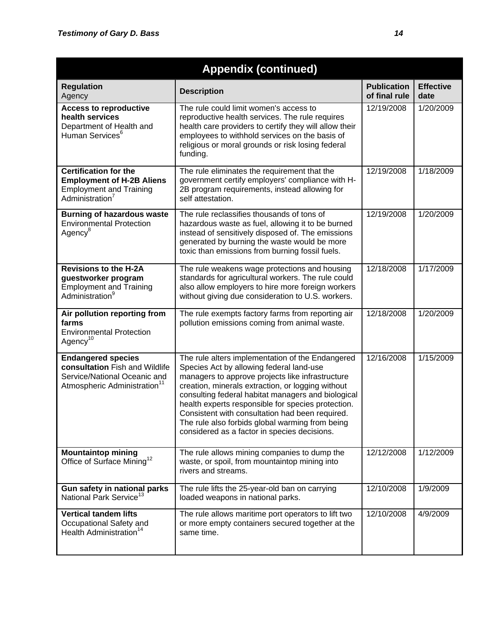| <b>Appendix (continued)</b>                                                                                                             |                                                                                                                                                                                                                                                                                                                                                                                                                                                                         |                                     |                          |
|-----------------------------------------------------------------------------------------------------------------------------------------|-------------------------------------------------------------------------------------------------------------------------------------------------------------------------------------------------------------------------------------------------------------------------------------------------------------------------------------------------------------------------------------------------------------------------------------------------------------------------|-------------------------------------|--------------------------|
| <b>Regulation</b><br>Agency                                                                                                             | <b>Description</b>                                                                                                                                                                                                                                                                                                                                                                                                                                                      | <b>Publication</b><br>of final rule | <b>Effective</b><br>date |
| <b>Access to reproductive</b><br>health services<br>Department of Health and<br>Human Services <sup>6</sup>                             | The rule could limit women's access to<br>reproductive health services. The rule requires<br>health care providers to certify they will allow their<br>employees to withhold services on the basis of<br>religious or moral grounds or risk losing federal<br>funding.                                                                                                                                                                                                  | 12/19/2008                          | 1/20/2009                |
| <b>Certification for the</b><br><b>Employment of H-2B Aliens</b><br><b>Employment and Training</b><br>Administration <sup>7</sup>       | The rule eliminates the requirement that the<br>government certify employers' compliance with H-<br>2B program requirements, instead allowing for<br>self attestation.                                                                                                                                                                                                                                                                                                  | 12/19/2008                          | 1/18/2009                |
| <b>Burning of hazardous waste</b><br><b>Environmental Protection</b><br>Agency <sup>8</sup>                                             | The rule reclassifies thousands of tons of<br>hazardous waste as fuel, allowing it to be burned<br>instead of sensitively disposed of. The emissions<br>generated by burning the waste would be more<br>toxic than emissions from burning fossil fuels.                                                                                                                                                                                                                 | 12/19/2008                          | 1/20/2009                |
| <b>Revisions to the H-2A</b><br>guestworker program<br><b>Employment and Training</b><br>Administration <sup>9</sup>                    | The rule weakens wage protections and housing<br>standards for agricultural workers. The rule could<br>also allow employers to hire more foreign workers<br>without giving due consideration to U.S. workers.                                                                                                                                                                                                                                                           | 12/18/2008                          | 1/17/2009                |
| Air pollution reporting from<br>farms<br><b>Environmental Protection</b><br>Agency <sup>10</sup>                                        | The rule exempts factory farms from reporting air<br>pollution emissions coming from animal waste.                                                                                                                                                                                                                                                                                                                                                                      | 12/18/2008                          | 1/20/2009                |
| <b>Endangered species</b><br>consultation Fish and Wildlife<br>Service/National Oceanic and<br>Atmospheric Administration <sup>11</sup> | The rule alters implementation of the Endangered<br>Species Act by allowing federal land-use<br>managers to approve projects like infrastructure<br>creation, minerals extraction, or logging without<br>consulting federal habitat managers and biological<br>health experts responsible for species protection.<br>Consistent with consultation had been required.<br>The rule also forbids global warming from being<br>considered as a factor in species decisions. | 12/16/2008                          | 1/15/2009                |
| <b>Mountaintop mining</b><br>Office of Surface Mining <sup>12</sup>                                                                     | The rule allows mining companies to dump the<br>waste, or spoil, from mountaintop mining into<br>rivers and streams.                                                                                                                                                                                                                                                                                                                                                    | 12/12/2008                          | 1/12/2009                |
| Gun safety in national parks<br>National Park Service <sup>13</sup>                                                                     | The rule lifts the 25-year-old ban on carrying<br>loaded weapons in national parks.                                                                                                                                                                                                                                                                                                                                                                                     | 12/10/2008                          | 1/9/2009                 |
| <b>Vertical tandem lifts</b><br>Occupational Safety and<br>Health Administration <sup>14</sup>                                          | The rule allows maritime port operators to lift two<br>or more empty containers secured together at the<br>same time.                                                                                                                                                                                                                                                                                                                                                   | 12/10/2008                          | 4/9/2009                 |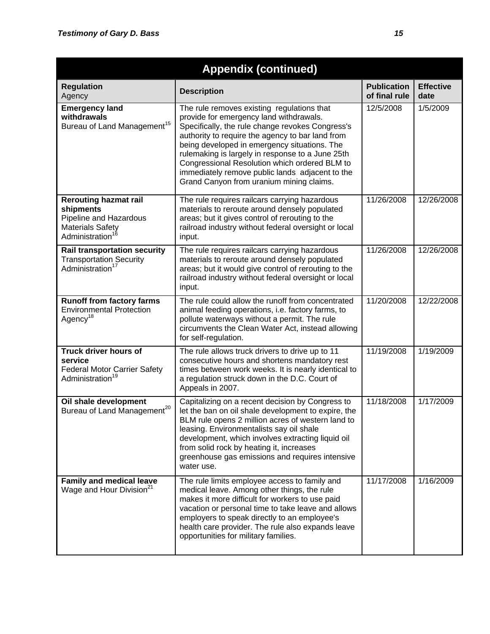| <b>Appendix (continued)</b>                                                                                                   |                                                                                                                                                                                                                                                                                                                                                                                                                                                   |                                     |                          |
|-------------------------------------------------------------------------------------------------------------------------------|---------------------------------------------------------------------------------------------------------------------------------------------------------------------------------------------------------------------------------------------------------------------------------------------------------------------------------------------------------------------------------------------------------------------------------------------------|-------------------------------------|--------------------------|
| <b>Regulation</b><br>Agency                                                                                                   | <b>Description</b>                                                                                                                                                                                                                                                                                                                                                                                                                                | <b>Publication</b><br>of final rule | <b>Effective</b><br>date |
| <b>Emergency land</b><br>withdrawals<br>Bureau of Land Management <sup>15</sup>                                               | The rule removes existing regulations that<br>provide for emergency land withdrawals.<br>Specifically, the rule change revokes Congress's<br>authority to require the agency to bar land from<br>being developed in emergency situations. The<br>rulemaking is largely in response to a June 25th<br>Congressional Resolution which ordered BLM to<br>immediately remove public lands adjacent to the<br>Grand Canyon from uranium mining claims. | 12/5/2008                           | $\frac{1}{5}$ /2009      |
| <b>Rerouting hazmat rail</b><br>shipments<br>Pipeline and Hazardous<br><b>Materials Safety</b><br>Administration <sup>1</sup> | The rule requires railcars carrying hazardous<br>materials to reroute around densely populated<br>areas; but it gives control of rerouting to the<br>railroad industry without federal oversight or local<br>input.                                                                                                                                                                                                                               | 11/26/2008                          | 12/26/2008               |
| <b>Rail transportation security</b><br><b>Transportation Security</b><br>Administration <sup>17</sup>                         | The rule requires railcars carrying hazardous<br>materials to reroute around densely populated<br>areas; but it would give control of rerouting to the<br>railroad industry without federal oversight or local<br>input.                                                                                                                                                                                                                          | 11/26/2008                          | 12/26/2008               |
| <b>Runoff from factory farms</b><br><b>Environmental Protection</b><br>Agency <sup>18</sup>                                   | The rule could allow the runoff from concentrated<br>animal feeding operations, i.e. factory farms, to<br>pollute waterways without a permit. The rule<br>circumvents the Clean Water Act, instead allowing<br>for self-regulation.                                                                                                                                                                                                               | 11/20/2008                          | 12/22/2008               |
| Truck driver hours of<br>service<br><b>Federal Motor Carrier Safety</b><br>Administration <sup>19</sup>                       | The rule allows truck drivers to drive up to 11<br>consecutive hours and shortens mandatory rest<br>times between work weeks. It is nearly identical to<br>a regulation struck down in the D.C. Court of<br>Appeals in 2007.                                                                                                                                                                                                                      | 11/19/2008                          | 1/19/2009                |
| Oil shale development<br>Bureau of Land Management <sup>20</sup>                                                              | Capitalizing on a recent decision by Congress to<br>let the ban on oil shale development to expire, the<br>BLM rule opens 2 million acres of western land to<br>leasing. Environmentalists say oil shale<br>development, which involves extracting liquid oil<br>from solid rock by heating it, increases<br>greenhouse gas emissions and requires intensive<br>water use.                                                                        | 11/18/2008                          | 1/17/2009                |
| <b>Family and medical leave</b><br>Wage and Hour Division <sup>21</sup>                                                       | The rule limits employee access to family and<br>medical leave. Among other things, the rule<br>makes it more difficult for workers to use paid<br>vacation or personal time to take leave and allows<br>employers to speak directly to an employee's<br>health care provider. The rule also expands leave<br>opportunities for military families.                                                                                                | 11/17/2008                          | 1/16/2009                |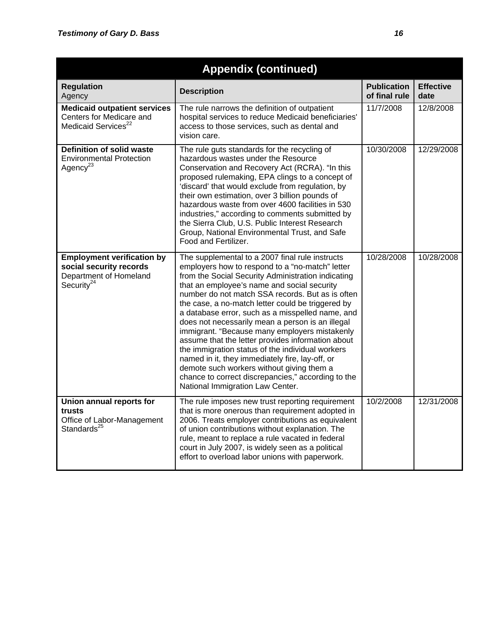| <b>Appendix (continued)</b>                                                                             |                                                                                                                                                                                                                                                                                                                                                                                                                                                                                                                                                                                                                                                                                                                                                                              |                                     |                          |
|---------------------------------------------------------------------------------------------------------|------------------------------------------------------------------------------------------------------------------------------------------------------------------------------------------------------------------------------------------------------------------------------------------------------------------------------------------------------------------------------------------------------------------------------------------------------------------------------------------------------------------------------------------------------------------------------------------------------------------------------------------------------------------------------------------------------------------------------------------------------------------------------|-------------------------------------|--------------------------|
| <b>Regulation</b><br>Agency                                                                             | <b>Description</b>                                                                                                                                                                                                                                                                                                                                                                                                                                                                                                                                                                                                                                                                                                                                                           | <b>Publication</b><br>of final rule | <b>Effective</b><br>date |
| <b>Medicaid outpatient services</b><br>Centers for Medicare and<br>Medicaid Services <sup>22</sup>      | The rule narrows the definition of outpatient<br>hospital services to reduce Medicaid beneficiaries'<br>access to those services, such as dental and<br>vision care.                                                                                                                                                                                                                                                                                                                                                                                                                                                                                                                                                                                                         | 11/7/2008                           | 12/8/2008                |
| <b>Definition of solid waste</b><br><b>Environmental Protection</b><br>Agency <sup>23</sup>             | The rule guts standards for the recycling of<br>hazardous wastes under the Resource<br>Conservation and Recovery Act (RCRA). "In this<br>proposed rulemaking, EPA clings to a concept of<br>'discard' that would exclude from regulation, by<br>their own estimation, over 3 billion pounds of<br>hazardous waste from over 4600 facilities in 530<br>industries," according to comments submitted by<br>the Sierra Club, U.S. Public Interest Research<br>Group, National Environmental Trust, and Safe<br>Food and Fertilizer.                                                                                                                                                                                                                                             | 10/30/2008                          | 12/29/2008               |
| <b>Employment verification by</b><br>social security records<br>Department of Homeland<br>Security $24$ | The supplemental to a 2007 final rule instructs<br>employers how to respond to a "no-match" letter<br>from the Social Security Administration indicating<br>that an employee's name and social security<br>number do not match SSA records. But as is often<br>the case, a no-match letter could be triggered by<br>a database error, such as a misspelled name, and<br>does not necessarily mean a person is an illegal<br>immigrant. "Because many employers mistakenly<br>assume that the letter provides information about<br>the immigration status of the individual workers<br>named in it, they immediately fire, lay-off, or<br>demote such workers without giving them a<br>chance to correct discrepancies," according to the<br>National Immigration Law Center. | 10/28/2008                          | 10/28/2008               |
| Union annual reports for<br>trusts<br>Office of Labor-Management<br>Standards <sup>25</sup>             | The rule imposes new trust reporting requirement<br>that is more onerous than requirement adopted in<br>2006. Treats employer contributions as equivalent<br>of union contributions without explanation. The<br>rule, meant to replace a rule vacated in federal<br>court in July 2007, is widely seen as a political<br>effort to overload labor unions with paperwork.                                                                                                                                                                                                                                                                                                                                                                                                     | 10/2/2008                           | 12/31/2008               |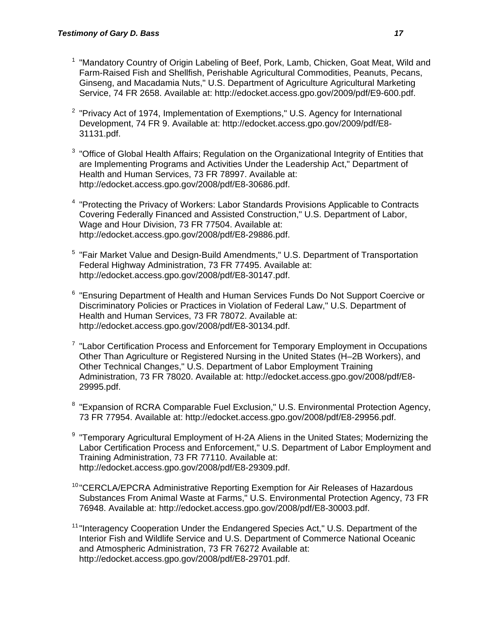- <sup>1</sup> "Mandatory Country of Origin Labeling of Beef, Pork, Lamb, Chicken, Goat Meat, Wild and Farm-Raised Fish and Shellfish, Perishable Agricultural Commodities, Peanuts, Pecans, Ginseng, and Macadamia Nuts," U.S. Department of Agriculture Agricultural Marketing Service, 74 FR 2658. Available at: http://edocket.access.gpo.gov/2009/pdf/E9-600.pdf.
- <sup>2</sup> "Privacy Act of 1974, Implementation of Exemptions," U.S. Agency for International Development, 74 FR 9. Available at: http://edocket.access.gpo.gov/2009/pdf/E8- 31131.pdf.
- $3$  "Office of Global Health Affairs; Regulation on the Organizational Integrity of Entities that are Implementing Programs and Activities Under the Leadership Act," Department of Health and Human Services, 73 FR 78997. Available at: http://edocket.access.gpo.gov/2008/pdf/E8-30686.pdf.
- <sup>4</sup> "Protecting the Privacy of Workers: Labor Standards Provisions Applicable to Contracts Covering Federally Financed and Assisted Construction," U.S. Department of Labor, Wage and Hour Division, 73 FR 77504. Available at: http://edocket.access.gpo.gov/2008/pdf/E8-29886.pdf.
- <sup>5</sup> "Fair Market Value and Design-Build Amendments," U.S. Department of Transportation Federal Highway Administration, 73 FR 77495. Available at: http://edocket.access.gpo.gov/2008/pdf/E8-30147.pdf.
- <sup>6</sup> "Ensuring Department of Health and Human Services Funds Do Not Support Coercive or Discriminatory Policies or Practices in Violation of Federal Law," U.S. Department of Health and Human Services, 73 FR 78072. Available at: http://edocket.access.gpo.gov/2008/pdf/E8-30134.pdf.
- $7$  "Labor Certification Process and Enforcement for Temporary Employment in Occupations Other Than Agriculture or Registered Nursing in the United States (H–2B Workers), and Other Technical Changes," U.S. Department of Labor Employment Training Administration, 73 FR 78020. Available at: http://edocket.access.gpo.gov/2008/pdf/E8- 29995.pdf.
- <sup>8</sup> "Expansion of RCRA Comparable Fuel Exclusion," U.S. Environmental Protection Agency, 73 FR 77954. Available at: http://edocket.access.gpo.gov/2008/pdf/E8-29956.pdf.
- <sup>9</sup> "Temporary Agricultural Employment of H-2A Aliens in the United States; Modernizing the Labor Certification Process and Enforcement," U.S. Department of Labor Employment and Training Administration, 73 FR 77110. Available at: http://edocket.access.gpo.gov/2008/pdf/E8-29309.pdf.
- <sup>10</sup> "CERCLA/EPCRA Administrative Reporting Exemption for Air Releases of Hazardous Substances From Animal Waste at Farms," U.S. Environmental Protection Agency, 73 FR 76948. Available at: http://edocket.access.gpo.gov/2008/pdf/E8-30003.pdf.
- <sup>11</sup> "Interagency Cooperation Under the Endangered Species Act," U.S. Department of the Interior Fish and Wildlife Service and U.S. Department of Commerce National Oceanic and Atmospheric Administration, 73 FR 76272 Available at: http://edocket.access.gpo.gov/2008/pdf/E8-29701.pdf.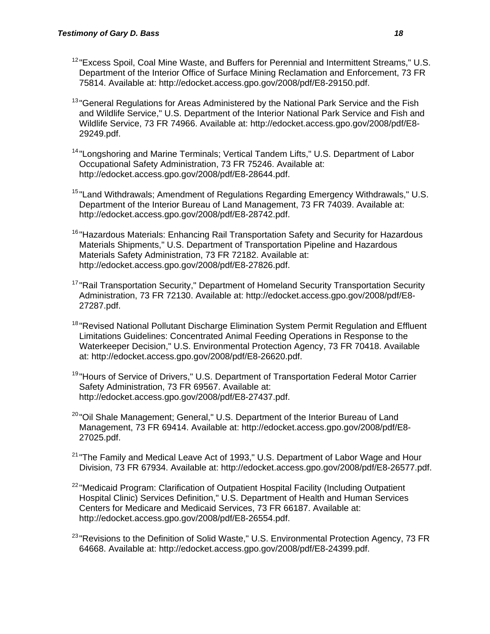- $12$  "Excess Spoil, Coal Mine Waste, and Buffers for Perennial and Intermittent Streams," U.S. Department of the Interior Office of Surface Mining Reclamation and Enforcement, 73 FR 75814. Available at: http://edocket.access.gpo.gov/2008/pdf/E8-29150.pdf.
- <sup>13</sup> "General Regulations for Areas Administered by the National Park Service and the Fish and Wildlife Service," U.S. Department of the Interior National Park Service and Fish and Wildlife Service, 73 FR 74966. Available at: http://edocket.access.gpo.gov/2008/pdf/E8- 29249.pdf.
- <sup>14</sup> "Longshoring and Marine Terminals; Vertical Tandem Lifts," U.S. Department of Labor Occupational Safety Administration, 73 FR 75246. Available at: http://edocket.access.gpo.gov/2008/pdf/E8-28644.pdf.
- <sup>15</sup> "Land Withdrawals; Amendment of Regulations Regarding Emergency Withdrawals," U.S. Department of the Interior Bureau of Land Management, 73 FR 74039. Available at: http://edocket.access.gpo.gov/2008/pdf/E8-28742.pdf.
- <sup>16</sup> "Hazardous Materials: Enhancing Rail Transportation Safety and Security for Hazardous Materials Shipments," U.S. Department of Transportation Pipeline and Hazardous Materials Safety Administration, 73 FR 72182. Available at: http://edocket.access.gpo.gov/2008/pdf/E8-27826.pdf.
- <sup>17</sup> "Rail Transportation Security," Department of Homeland Security Transportation Security Administration, 73 FR 72130. Available at: http://edocket.access.gpo.gov/2008/pdf/E8- 27287.pdf.
- <sup>18</sup> "Revised National Pollutant Discharge Elimination System Permit Regulation and Effluent Limitations Guidelines: Concentrated Animal Feeding Operations in Response to the Waterkeeper Decision," U.S. Environmental Protection Agency, 73 FR 70418. Available at: http://edocket.access.gpo.gov/2008/pdf/E8-26620.pdf.
- <sup>19</sup> "Hours of Service of Drivers," U.S. Department of Transportation Federal Motor Carrier Safety Administration, 73 FR 69567. Available at: http://edocket.access.gpo.gov/2008/pdf/E8-27437.pdf.
- <sup>20</sup> "Oil Shale Management; General," U.S. Department of the Interior Bureau of Land Management, 73 FR 69414. Available at: http://edocket.access.gpo.gov/2008/pdf/E8- 27025.pdf.
- $21$  "The Family and Medical Leave Act of 1993," U.S. Department of Labor Wage and Hour Division, 73 FR 67934. Available at: http://edocket.access.gpo.gov/2008/pdf/E8-26577.pdf.
- <sup>22</sup> "Medicaid Program: Clarification of Outpatient Hospital Facility (Including Outpatient Hospital Clinic) Services Definition," U.S. Department of Health and Human Services Centers for Medicare and Medicaid Services, 73 FR 66187. Available at: http://edocket.access.gpo.gov/2008/pdf/E8-26554.pdf.
- $^{23}$ "Revisions to the Definition of Solid Waste." U.S. Environmental Protection Agency, 73 FR 64668. Available at: http://edocket.access.gpo.gov/2008/pdf/E8-24399.pdf.